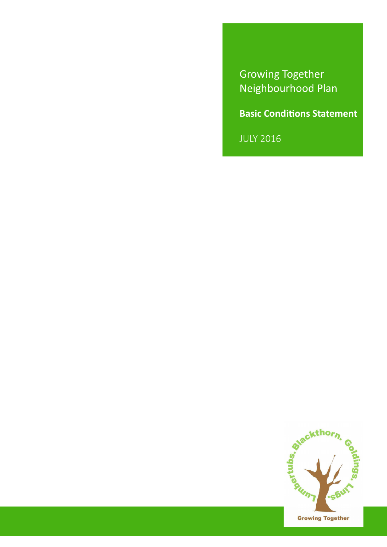Growing Together Neighbourhood Plan

**Basic Conditions Statement**

JULY 2016

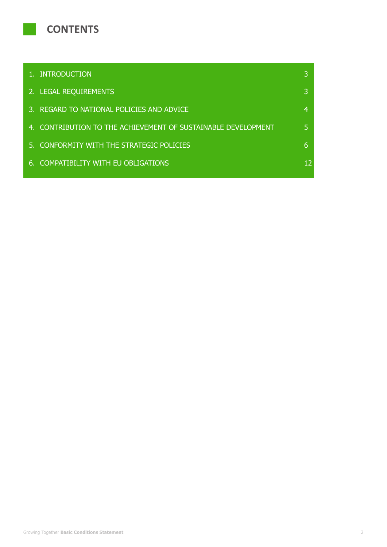

| 1. INTRODUCTION                                               | ß  |
|---------------------------------------------------------------|----|
| 2. LEGAL REQUIREMENTS                                         | 3  |
| 3. REGARD TO NATIONAL POLICIES AND ADVICE                     | 4  |
| 4. CONTRIBUTION TO THE ACHIEVEMENT OF SUSTAINABLE DEVELOPMENT | 5. |
| 5. CONFORMITY WITH THE STRATEGIC POLICIES                     | 6. |
| 6. COMPATIBILITY WITH EU OBLIGATIONS                          | 12 |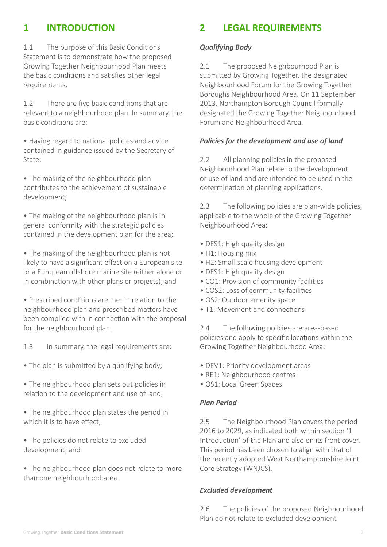# **1 INTRODUCTION**

1.1 The purpose of this Basic Conditions Statement is to demonstrate how the proposed Growing Together Neighbourhood Plan meets the basic conditions and satisfies other legal requirements.

1.2 There are five basic conditions that are relevant to a neighbourhood plan. In summary, the basic conditions are:

• Having regard to national policies and advice contained in guidance issued by the Secretary of State;

• The making of the neighbourhood plan contributes to the achievement of sustainable development;

• The making of the neighbourhood plan is in general conformity with the strategic policies contained in the development plan for the area;

• The making of the neighbourhood plan is not likely to have a significant effect on a European site or a European offshore marine site (either alone or in combination with other plans or projects); and

• Prescribed conditions are met in relation to the neighbourhood plan and prescribed matters have been complied with in connection with the proposal for the neighbourhood plan.

1.3 In summary, the legal requirements are:

- The plan is submitted by a qualifying body;
- The neighbourhood plan sets out policies in relation to the development and use of land;
- The neighbourhood plan states the period in which it is to have effect;
- The policies do not relate to excluded development; and
- The neighbourhood plan does not relate to more than one neighbourhood area.

## **2 LEGAL REQUIREMENTS**

#### *Qualifying Body*

2.1 The proposed Neighbourhood Plan is submitted by Growing Together, the designated Neighbourhood Forum for the Growing Together Boroughs Neighbourhood Area. On 11 September 2013, Northampton Borough Council formally designated the Growing Together Neighbourhood Forum and Neighbourhood Area.

#### *Policies for the development and use of land*

2.2 All planning policies in the proposed Neighbourhood Plan relate to the development or use of land and are intended to be used in the determination of planning applications.

2.3 The following policies are plan-wide policies, applicable to the whole of the Growing Together Neighbourhood Area:

- DES1: High quality design
- H1: Housing mix
- H2: Small-scale housing development
- DES1: High quality design
- CO1: Provision of community facilities
- COS2: Loss of community facilities
- OS2: Outdoor amenity space
- T1: Movement and connections

2.4 The following policies are area-based policies and apply to specific locations within the Growing Together Neighbourhood Area:

- DEV1: Priority development areas
- RE1: Neighbourhood centres
- OS1: Local Green Spaces

#### *Plan Period*

2.5 The Neighbourhood Plan covers the period 2016 to 2029, as indicated both within section '1 Introduction' of the Plan and also on its front cover. This period has been chosen to align with that of the recently adopted West Northamptonshire Joint Core Strategy (WNJCS).

#### *Excluded development*

2.6 The policies of the proposed Neighbourhood Plan do not relate to excluded development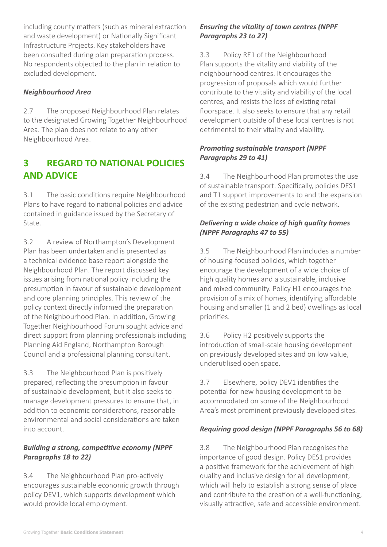including county matters (such as mineral extraction and waste development) or Nationally Significant Infrastructure Projects. Key stakeholders have been consulted during plan preparation process. No respondents objected to the plan in relation to excluded development.

#### *Neighbourhood Area*

2.7 The proposed Neighbourhood Plan relates to the designated Growing Together Neighbourhood Area. The plan does not relate to any other Neighbourhood Area.

## **3 REGARD TO NATIONAL POLICIES AND ADVICE**

3.1 The basic conditions require Neighbourhood Plans to have regard to national policies and advice contained in guidance issued by the Secretary of State.

3.2 A review of Northampton's Development Plan has been undertaken and is presented as a technical evidence base report alongside the Neighbourhood Plan. The report discussed key issues arising from national policy including the presumption in favour of sustainable development and core planning principles. This review of the policy context directly informed the preparation of the Neighbourhood Plan. In addition, Growing Together Neighbourhood Forum sought advice and direct support from planning professionals including Planning Aid England, Northampton Borough Council and a professional planning consultant.

3.3 The Neighbourhood Plan is positively prepared, reflecting the presumption in favour of sustainable development, but it also seeks to manage development pressures to ensure that, in addition to economic considerations, reasonable environmental and social considerations are taken into account.

## *Building a strong, competitive economy (NPPF Paragraphs 18 to 22)*

3.4 The Neighbourhood Plan pro-actively encourages sustainable economic growth through policy DEV1, which supports development which would provide local employment.

## *Ensuring the vitality of town centres (NPPF Paragraphs 23 to 27)*

3.3 Policy RE1 of the Neighbourhood Plan supports the vitality and viability of the neighbourhood centres. It encourages the progression of proposals which would further contribute to the vitality and viability of the local centres, and resists the loss of existing retail floorspace. It also seeks to ensure that any retail development outside of these local centres is not detrimental to their vitality and viability.

## *Promoting sustainable transport (NPPF Paragraphs 29 to 41)*

3.4 The Neighbourhood Plan promotes the use of sustainable transport. Specifically, policies DES1 and T1 support improvements to and the expansion of the existing pedestrian and cycle network.

## *Delivering a wide choice of high quality homes (NPPF Paragraphs 47 to 55)*

3.5 The Neighbourhood Plan includes a number of housing-focused policies, which together encourage the development of a wide choice of high quality homes and a sustainable, inclusive and mixed community. Policy H1 encourages the provision of a mix of homes, identifying affordable housing and smaller (1 and 2 bed) dwellings as local priorities.

3.6 Policy H2 positively supports the introduction of small-scale housing development on previously developed sites and on low value, underutilised open space.

3.7 Elsewhere, policy DEV1 identifies the potential for new housing development to be accommodated on some of the Neighbourhood Area's most prominent previously developed sites.

## *Requiring good design (NPPF Paragraphs 56 to 68)*

3.8 The Neighbourhood Plan recognises the importance of good design. Policy DES1 provides a positive framework for the achievement of high quality and inclusive design for all development, which will help to establish a strong sense of place and contribute to the creation of a well-functioning, visually attractive, safe and accessible environment.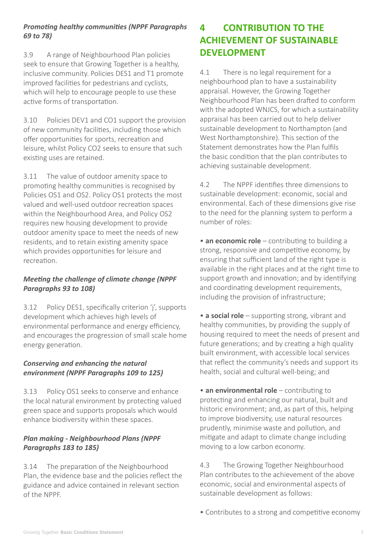## *Promoting healthy communities (NPPF Paragraphs 69 to 78)*

3.9 A range of Neighbourhood Plan policies seek to ensure that Growing Together is a healthy, inclusive community. Policies DES1 and T1 promote improved facilities for pedestrians and cyclists, which will help to encourage people to use these active forms of transportation.

3.10 Policies DEV1 and CO1 support the provision of new community facilities, including those which offer opportunities for sports, recreation and leisure, whilst Policy CO2 seeks to ensure that such existing uses are retained.

3.11 The value of outdoor amenity space to promoting healthy communities is recognised by Policies OS1 and OS2. Policy OS1 protects the most valued and well-used outdoor recreation spaces within the Neighbourhood Area, and Policy OS2 requires new housing development to provide outdoor amenity space to meet the needs of new residents, and to retain existing amenity space which provides opportunities for leisure and recreation.

## *Meeting the challenge of climate change (NPPF Paragraphs 93 to 108)*

3.12 Policy DES1, specifically criterion 'j', supports development which achieves high levels of environmental performance and energy efficiency, and encourages the progression of small scale home energy generation.

## *Conserving and enhancing the natural environment (NPPF Paragraphs 109 to 125)*

3.13 Policy OS1 seeks to conserve and enhance the local natural environment by protecting valued green space and supports proposals which would enhance biodiversity within these spaces.

## *Plan making - Neighbourhood Plans (NPPF Paragraphs 183 to 185)*

3.14 The preparation of the Neighbourhood Plan, the evidence base and the policies reflect the guidance and advice contained in relevant section of the NPPF.

# **4 CONTRIBUTION TO THE ACHIEVEMENT OF SUSTAINABLE DEVELOPMENT**

4.1 There is no legal requirement for a neighbourhood plan to have a sustainability appraisal. However, the Growing Together Neighbourhood Plan has been drafted to conform with the adopted WNJCS, for which a sustainability appraisal has been carried out to help deliver sustainable development to Northampton (and West Northamptonshire). This section of the Statement demonstrates how the Plan fulfils the basic condition that the plan contributes to achieving sustainable development.

4.2 The NPPF identifies three dimensions to sustainable development: economic, social and environmental. Each of these dimensions give rise to the need for the planning system to perform a number of roles:

• **an economic role** – contributing to building a strong, responsive and competitive economy, by ensuring that sufficient land of the right type is available in the right places and at the right time to support growth and innovation; and by identifying and coordinating development requirements, including the provision of infrastructure;

• **a social role** – supporting strong, vibrant and healthy communities, by providing the supply of housing required to meet the needs of present and future generations; and by creating a high quality built environment, with accessible local services that reflect the community's needs and support its health, social and cultural well-being; and

• **an environmental role** – contributing to protecting and enhancing our natural, built and historic environment; and, as part of this, helping to improve biodiversity, use natural resources prudently, minimise waste and pollution, and mitigate and adapt to climate change including moving to a low carbon economy.

4.3 The Growing Together Neighbourhood Plan contributes to the achievement of the above economic, social and environmental aspects of sustainable development as follows:

• Contributes to a strong and competitive economy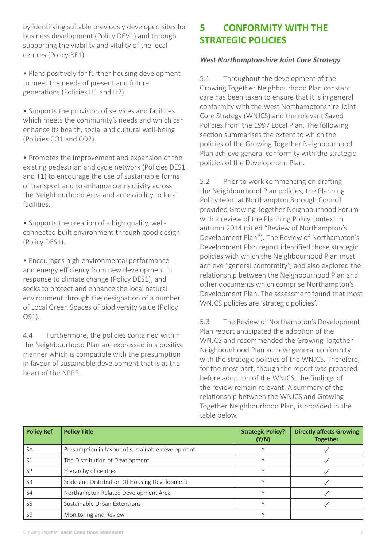by identifying suitable previously developed sites for business development (Policy DEV1) and through supporting the viability and vitality of the local centres (Policy RE1).

• Plans positively for further housing development to meet the needs of present and future generations (Policies H1 and H2).

• Supports the provision of services and facilities which meets the community's needs and which can enhance its health, social and cultural well-being (Policies CO1 and CO2).

• Promotes the improvement and expansion of the existing pedestrian and cycle network (Policies DES1 and T1) to encourage the use of sustainable forms of transport and to enhance connectivity across the Neighbourhood Area and accessibility to local facilities.

• Supports the creation of a high quality, wellconnected built environment through good design (Policy DES1).

• Encourages high environmental performance and energy efficiency from new development in response to climate change (Policy DES1), and seeks to protect and enhance the local natural environment through the designation of a number of Local Green Spaces of biodiversity value (Policy OS1).

4.4 Furthermore, the policies contained within the Neighbourhood Plan are expressed in a positive manner which is compatible with the presumption in favour of sustainable development that is at the heart of the NPPF.

# **5 CONFORMITY WITH THE STRATEGIC POLICIES**

#### *West Northamptonshire Joint Core Strategy*

5.1 Throughout the development of the Growing Together Neighbourhood Plan constant care has been taken to ensure that it is in general conformity with the West Northamptonshire Joint Core Strategy (WNJCS) and the relevant Saved Policies from the 1997 Local Plan. The following section summarises the extent to which the policies of the Growing Together Neighbourhood Plan achieve general conformity with the strategic policies of the Development Plan.

5.2 Prior to work commencing on drafting the Neighbourhood Plan policies, the Planning Policy team at Northampton Borough Council provided Growing Together Neighbourhood Forum with a review of the Planning Policy context in autumn 2014 (titled "Review of Northampton's Development Plan"). The Review of Northampton's Development Plan report identified those strategic policies with which the Neighbourhood Plan must achieve "general conformity", and also explored the relationship between the Neighbourhood Plan and other documents which comprise Northampton's Development Plan. The assessment found that most WNJCS policies are 'strategic policies'.

5.3 The Review of Northampton's Development Plan report anticipated the adoption of the WNJCS and recommended the Growing Together Neighbourhood Plan achieve general conformity with the strategic policies of the WNJCS. Therefore, for the most part, though the report was prepared before adoption of the WNJCS, the findings of the review remain relevant. A summary of the relationship between the WNJCS and Growing Together Neighbourhood Plan, is provided in the table below.

| <b>Policy Ref</b> | <b>Policy Title</b>                              | <b>Strategic Policy?</b><br>(Y/N) | <b>Directly affects Growing</b><br><b>Together</b> |
|-------------------|--------------------------------------------------|-----------------------------------|----------------------------------------------------|
| <b>SA</b>         | Presumption in favour of sustainable development |                                   |                                                    |
| S <sub>1</sub>    | The Distribution of Development                  |                                   |                                                    |
| S <sub>2</sub>    | Hierarchy of centres                             |                                   |                                                    |
| S <sub>3</sub>    | Scale and Distribution Of Housing Development    |                                   |                                                    |
| S <sub>4</sub>    | Northampton Related Development Area             |                                   |                                                    |
| S <sub>5</sub>    | Sustainable Urban Extensions                     |                                   |                                                    |
| S <sub>6</sub>    | Monitoring and Review                            |                                   |                                                    |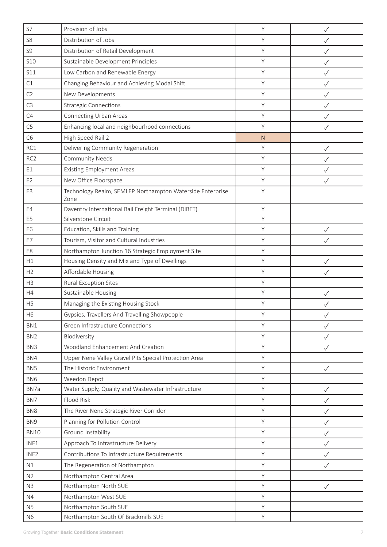| S7               | Provision of Jobs                                                 | Y | ✓            |
|------------------|-------------------------------------------------------------------|---|--------------|
| S <sub>8</sub>   | Distribution of Jobs                                              | Y | √            |
| S <sub>9</sub>   | Distribution of Retail Development                                | Y | ✓            |
| <b>S10</b>       | Sustainable Development Principles                                | Y | ✓            |
| S11              | Low Carbon and Renewable Energy                                   | Y | ✓            |
| C1               | Changing Behaviour and Achieving Modal Shift                      | Y | ✓            |
| C2               | New Developments                                                  | Y | $\checkmark$ |
| C <sub>3</sub>   | <b>Strategic Connections</b>                                      | Y | ✓            |
| C4               | <b>Connecting Urban Areas</b>                                     | Y | ✓            |
| C <sub>5</sub>   | Enhancing local and neighbourhood connections                     | Y | $\checkmark$ |
| C <sub>6</sub>   | High Speed Rail 2                                                 | N |              |
| RC1              | Delivering Community Regeneration                                 | Y | ✓            |
| RC <sub>2</sub>  | <b>Community Needs</b>                                            | Y | $\checkmark$ |
| E1               | <b>Existing Employment Areas</b>                                  | Y |              |
| E <sub>2</sub>   | New Office Floorspace                                             | Y | $\checkmark$ |
| E3               | Technology Realm, SEMLEP Northampton Waterside Enterprise<br>Zone | Y |              |
| E4               | Daventry International Rail Freight Terminal (DIRFT)              | Y |              |
| E <sub>5</sub>   | Silverstone Circuit                                               | Y |              |
| E <sub>6</sub>   | Education, Skills and Training                                    | Y | $\checkmark$ |
| E7               | Tourism, Visitor and Cultural Industries                          | Y | $\checkmark$ |
| E8               | Northampton Junction 16 Strategic Employment Site                 | Y |              |
| H1               | Housing Density and Mix and Type of Dwellings                     | Y | ✓            |
| H2               | Affordable Housing                                                | Y | ✓            |
| H3               | Rural Exception Sites                                             | Y |              |
| H4               | Sustainable Housing                                               | Y | $\checkmark$ |
| H <sub>5</sub>   | Managing the Existing Housing Stock                               | Y |              |
| H <sub>6</sub>   | Gypsies, Travellers And Travelling Showpeople                     | Υ | $\checkmark$ |
| BN1              | Green Infrastructure Connections                                  | Y | $\checkmark$ |
| BN <sub>2</sub>  | Biodiversity                                                      | Y | ✓            |
| BN <sub>3</sub>  | Woodland Enhancement And Creation                                 | Y | ✓            |
| BN4              | Upper Nene Valley Gravel Pits Special Protection Area             | Y |              |
| BN <sub>5</sub>  | The Historic Environment                                          | Y | $\checkmark$ |
| BN <sub>6</sub>  | Weedon Depot                                                      | Υ |              |
| BN7a             | Water Supply, Quality and Wastewater Infrastructure               | Y | $\checkmark$ |
| BN7              | Flood Risk                                                        | Y | $\checkmark$ |
| BN <sub>8</sub>  | The River Nene Strategic River Corridor                           | Y | $\checkmark$ |
| BN <sub>9</sub>  | Planning for Pollution Control                                    | Y | ✓            |
| <b>BN10</b>      | Ground Instability                                                | Y | ✓            |
| INF1             | Approach To Infrastructure Delivery                               | Y | $\checkmark$ |
| INF <sub>2</sub> | Contributions To Infrastructure Requirements                      | Y | $\checkmark$ |
| N1               | The Regeneration of Northampton                                   | Y | ✓            |
| N <sub>2</sub>   | Northampton Central Area                                          | Y |              |
| N3               | Northampton North SUE                                             | Y | $\checkmark$ |
| N4               | Northampton West SUE                                              | Y |              |
| N <sub>5</sub>   | Northampton South SUE                                             | Y |              |
| N <sub>6</sub>   | Northampton South Of Brackmills SUE                               | Y |              |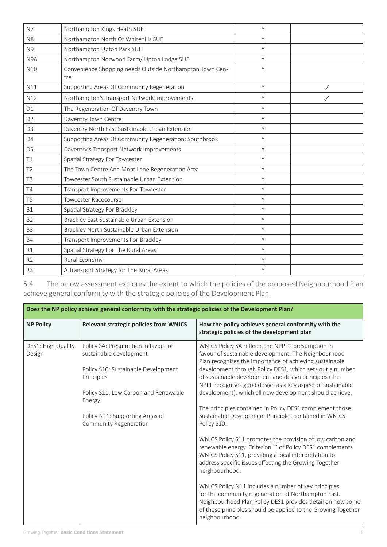| N7               | Northampton Kings Heath SUE                                     | Y |   |
|------------------|-----------------------------------------------------------------|---|---|
| N <sub>8</sub>   | Northampton North Of Whitehills SUE                             | Y |   |
| N <sub>9</sub>   | Northampton Upton Park SUE                                      | Y |   |
| N <sub>9</sub> A | Northampton Norwood Farm/ Upton Lodge SUE                       | Y |   |
| N10              | Convenience Shopping needs Outside Northampton Town Cen-<br>tre | Υ |   |
| N11              | Supporting Areas Of Community Regeneration                      | Y | ✓ |
| N12              | Northampton's Transport Network Improvements                    | Y |   |
| D1               | The Regeneration Of Daventry Town                               | Y |   |
| D <sub>2</sub>   | Daventry Town Centre                                            | Y |   |
| D <sub>3</sub>   | Daventry North East Sustainable Urban Extension                 | Y |   |
| D <sub>4</sub>   | Supporting Areas Of Community Regeneration: Southbrook          | Y |   |
| D <sub>5</sub>   | Daventry's Transport Network Improvements                       | Y |   |
| T1               | Spatial Strategy For Towcester                                  | Y |   |
| T <sub>2</sub>   | The Town Centre And Moat Lane Regeneration Area                 | Y |   |
| T <sub>3</sub>   | Towcester South Sustainable Urban Extension                     | Y |   |
| T4               | Transport Improvements For Towcester                            | Y |   |
| T <sub>5</sub>   | <b>Towcester Racecourse</b>                                     | Y |   |
| <b>B1</b>        | Spatial Strategy For Brackley                                   | Y |   |
| B <sub>2</sub>   | Brackley East Sustainable Urban Extension                       | Y |   |
| B <sub>3</sub>   | Brackley North Sustainable Urban Extension                      | Y |   |
| <b>B4</b>        | Transport Improvements For Brackley                             | Y |   |
| R1               | Spatial Strategy For The Rural Areas                            | Y |   |
| R <sub>2</sub>   | Rural Economy                                                   | Υ |   |
| R <sub>3</sub>   | A Transport Strategy for The Rural Areas                        | Y |   |

5.4 The below assessment explores the extent to which the policies of the proposed Neighbourhood Plan achieve general conformity with the strategic policies of the Development Plan.

| Does the NP policy achieve general conformity with the strategic policies of the Development Plan? |                                                                                                                                                                                                                                    |                                                                                                                                                                                                                                                                                                                                                                                                                                                                                                                                                                                                                                                                                                                                                                                                                                                                                                                                                                                                                                                                                         |  |
|----------------------------------------------------------------------------------------------------|------------------------------------------------------------------------------------------------------------------------------------------------------------------------------------------------------------------------------------|-----------------------------------------------------------------------------------------------------------------------------------------------------------------------------------------------------------------------------------------------------------------------------------------------------------------------------------------------------------------------------------------------------------------------------------------------------------------------------------------------------------------------------------------------------------------------------------------------------------------------------------------------------------------------------------------------------------------------------------------------------------------------------------------------------------------------------------------------------------------------------------------------------------------------------------------------------------------------------------------------------------------------------------------------------------------------------------------|--|
| <b>NP Policy</b>                                                                                   | <b>Relevant strategic policies from WNJCS</b>                                                                                                                                                                                      | How the policy achieves general conformity with the<br>strategic policies of the development plan                                                                                                                                                                                                                                                                                                                                                                                                                                                                                                                                                                                                                                                                                                                                                                                                                                                                                                                                                                                       |  |
| DES1: High Quality<br>Design                                                                       | Policy SA: Presumption in favour of<br>sustainable development<br>Policy S10: Sustainable Development<br>Principles<br>Policy S11: Low Carbon and Renewable<br>Energy<br>Policy N11: Supporting Areas of<br>Community Regeneration | WNJCS Policy SA reflects the NPPF's presumption in<br>favour of sustainable development. The Neighbourhood<br>Plan recognises the importance of achieving sustainable<br>development through Policy DES1, which sets out a number<br>of sustainable development and design principles (the<br>NPPF recognises good design as a key aspect of sustainable<br>development), which all new development should achieve.<br>The principles contained in Policy DES1 complement those<br>Sustainable Development Principles contained in WNJCS<br>Policy S10.<br>WNJCS Policy S11 promotes the provision of low carbon and<br>renewable energy. Criterion 'j' of Policy DES1 complements<br>WNJCS Policy S11, providing a local interpretation to<br>address specific issues affecting the Growing Together<br>neighbourhood.<br>WNJCS Policy N11 includes a number of key principles<br>for the community regeneration of Northampton East.<br>Neighbourhood Plan Policy DES1 provides detail on how some<br>of those principles should be applied to the Growing Together<br>neighbourhood. |  |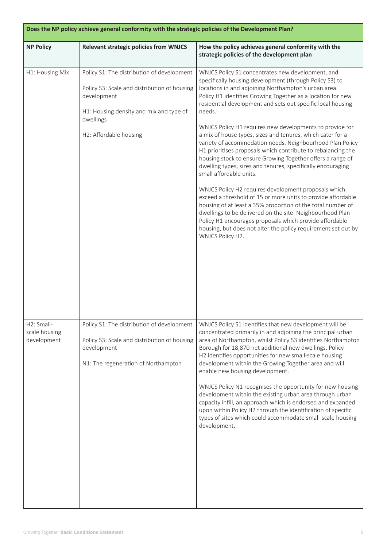| Does the NP policy achieve general conformity with the strategic policies of the Development Plan? |                                                                                                                                                                                             |                                                                                                                                                                                                                                                                                                                                                                                                                                                                                                                                                                                                                                                                                                                                                                                                                                                                                                                                                                                                                                                                                                                                 |  |
|----------------------------------------------------------------------------------------------------|---------------------------------------------------------------------------------------------------------------------------------------------------------------------------------------------|---------------------------------------------------------------------------------------------------------------------------------------------------------------------------------------------------------------------------------------------------------------------------------------------------------------------------------------------------------------------------------------------------------------------------------------------------------------------------------------------------------------------------------------------------------------------------------------------------------------------------------------------------------------------------------------------------------------------------------------------------------------------------------------------------------------------------------------------------------------------------------------------------------------------------------------------------------------------------------------------------------------------------------------------------------------------------------------------------------------------------------|--|
| <b>NP Policy</b>                                                                                   | <b>Relevant strategic policies from WNJCS</b>                                                                                                                                               | How the policy achieves general conformity with the<br>strategic policies of the development plan                                                                                                                                                                                                                                                                                                                                                                                                                                                                                                                                                                                                                                                                                                                                                                                                                                                                                                                                                                                                                               |  |
| H1: Housing Mix                                                                                    | Policy S1: The distribution of development<br>Policy S3: Scale and distribution of housing<br>development<br>H1: Housing density and mix and type of<br>dwellings<br>H2: Affordable housing | WNJCS Policy S1 concentrates new development, and<br>specifically housing development (through Policy S3) to<br>locations in and adjoining Northampton's urban area.<br>Policy H1 identifies Growing Together as a location for new<br>residential development and sets out specific local housing<br>needs.<br>WNJCS Policy H1 requires new developments to provide for<br>a mix of house types, sizes and tenures, which cater for a<br>variety of accommodation needs. Neighbourhood Plan Policy<br>H1 prioritises proposals which contribute to rebalancing the<br>housing stock to ensure Growing Together offers a range of<br>dwelling types, sizes and tenures, specifically encouraging<br>small affordable units.<br>WNJCS Policy H2 requires development proposals which<br>exceed a threshold of 15 or more units to provide affordable<br>housing of at least a 35% proportion of the total number of<br>dwellings to be delivered on the site. Neighbourhood Plan<br>Policy H1 encourages proposals which provide affordable<br>housing, but does not alter the policy requirement set out by<br>WNJCS Policy H2. |  |
| H2: Small-<br>scale housing<br>development                                                         | Policy S1: The distribution of development<br>Policy S3: Scale and distribution of housing<br>development<br>N1: The regeneration of Northampton                                            | WNJCS Policy S1 identifies that new development will be<br>concentrated primarily in and adjoining the principal urban<br>area of Northampton, whilst Policy S3 identifies Northampton<br>Borough for 18,870 net additional new dwellings. Policy<br>H2 identifies opportunities for new small-scale housing<br>development within the Growing Together area and will<br>enable new housing development.<br>WNJCS Policy N1 recognises the opportunity for new housing<br>development within the existing urban area through urban<br>capacity infill, an approach which is endorsed and expanded<br>upon within Policy H2 through the identification of specific<br>types of sites which could accommodate small-scale housing<br>development.                                                                                                                                                                                                                                                                                                                                                                                 |  |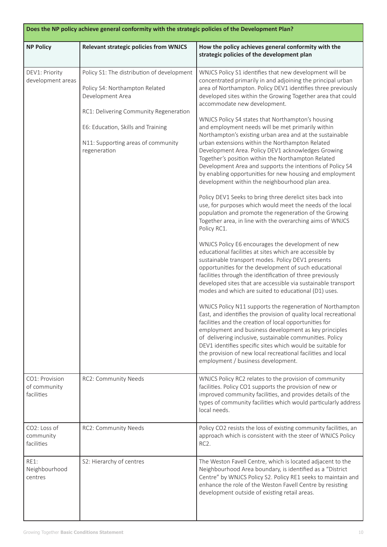| Does the NP policy achieve general conformity with the strategic policies of the Development Plan? |                                                                                                                                                                                                                                        |                                                                                                                                                                                                                                                                                                                                                                                                                                                                                                                                                                                                                                                                                                                                                                                                                                                                                                                                                                                                                                                                                                                                                                                                                                                                                                                                                                                                                                                                                                                                                                                                                                                                                                                                                                                                                                                                                                                                                                                |  |
|----------------------------------------------------------------------------------------------------|----------------------------------------------------------------------------------------------------------------------------------------------------------------------------------------------------------------------------------------|--------------------------------------------------------------------------------------------------------------------------------------------------------------------------------------------------------------------------------------------------------------------------------------------------------------------------------------------------------------------------------------------------------------------------------------------------------------------------------------------------------------------------------------------------------------------------------------------------------------------------------------------------------------------------------------------------------------------------------------------------------------------------------------------------------------------------------------------------------------------------------------------------------------------------------------------------------------------------------------------------------------------------------------------------------------------------------------------------------------------------------------------------------------------------------------------------------------------------------------------------------------------------------------------------------------------------------------------------------------------------------------------------------------------------------------------------------------------------------------------------------------------------------------------------------------------------------------------------------------------------------------------------------------------------------------------------------------------------------------------------------------------------------------------------------------------------------------------------------------------------------------------------------------------------------------------------------------------------------|--|
| <b>NP Policy</b>                                                                                   | <b>Relevant strategic policies from WNJCS</b>                                                                                                                                                                                          | How the policy achieves general conformity with the<br>strategic policies of the development plan                                                                                                                                                                                                                                                                                                                                                                                                                                                                                                                                                                                                                                                                                                                                                                                                                                                                                                                                                                                                                                                                                                                                                                                                                                                                                                                                                                                                                                                                                                                                                                                                                                                                                                                                                                                                                                                                              |  |
| DEV1: Priority<br>development areas                                                                | Policy S1: The distribution of development<br>Policy S4: Northampton Related<br>Development Area<br>RC1: Delivering Community Regeneration<br>E6: Education, Skills and Training<br>N11: Supporting areas of community<br>regeneration | WNJCS Policy S1 identifies that new development will be<br>concentrated primarily in and adjoining the principal urban<br>area of Northampton. Policy DEV1 identifies three previously<br>developed sites within the Growing Together area that could<br>accommodate new development.<br>WNJCS Policy S4 states that Northampton's housing<br>and employment needs will be met primarily within<br>Northampton's existing urban area and at the sustainable<br>urban extensions within the Northampton Related<br>Development Area. Policy DEV1 acknowledges Growing<br>Together's position within the Northampton Related<br>Development Area and supports the intentions of Policy S4<br>by enabling opportunities for new housing and employment<br>development within the neighbourhood plan area.<br>Policy DEV1 Seeks to bring three derelict sites back into<br>use, for purposes which would meet the needs of the local<br>population and promote the regeneration of the Growing<br>Together area, in line with the overarching aims of WNJCS<br>Policy RC1.<br>WNJCS Policy E6 encourages the development of new<br>educational facilities at sites which are accessible by<br>sustainable transport modes. Policy DEV1 presents<br>opportunities for the development of such educational<br>facilities through the identification of three previously<br>developed sites that are accessible via sustainable transport<br>modes and which are suited to educational (D1) uses.<br>WNJCS Policy N11 supports the regeneration of Northampton<br>East, and identifies the provision of quality local recreational<br>facilities and the creation of local opportunities for<br>employment and business development as key principles<br>of delivering inclusive, sustainable communities. Policy<br>DEV1 identifies specific sites which would be suitable for<br>the provision of new local recreational facilities and local<br>employment / business development. |  |
| CO1: Provision<br>of community<br>facilities                                                       | RC2: Community Needs                                                                                                                                                                                                                   | WNJCS Policy RC2 relates to the provision of community<br>facilities. Policy CO1 supports the provision of new or<br>improved community facilities, and provides details of the<br>types of community facilities which would particularly address<br>local needs.                                                                                                                                                                                                                                                                                                                                                                                                                                                                                                                                                                                                                                                                                                                                                                                                                                                                                                                                                                                                                                                                                                                                                                                                                                                                                                                                                                                                                                                                                                                                                                                                                                                                                                              |  |
| CO2: Loss of<br>community<br>facilities                                                            | RC2: Community Needs                                                                                                                                                                                                                   | Policy CO2 resists the loss of existing community facilities, an<br>approach which is consistent with the steer of WNJCS Policy<br>RC <sub>2</sub> .                                                                                                                                                                                                                                                                                                                                                                                                                                                                                                                                                                                                                                                                                                                                                                                                                                                                                                                                                                                                                                                                                                                                                                                                                                                                                                                                                                                                                                                                                                                                                                                                                                                                                                                                                                                                                           |  |
| <b>RE1:</b><br>Neighbourhood<br>centres                                                            | S2: Hierarchy of centres                                                                                                                                                                                                               | The Weston Favell Centre, which is located adjacent to the<br>Neighbourhood Area boundary, is identified as a "District<br>Centre" by WNJCS Policy S2. Policy RE1 seeks to maintain and<br>enhance the role of the Weston Favell Centre by resisting<br>development outside of existing retail areas.                                                                                                                                                                                                                                                                                                                                                                                                                                                                                                                                                                                                                                                                                                                                                                                                                                                                                                                                                                                                                                                                                                                                                                                                                                                                                                                                                                                                                                                                                                                                                                                                                                                                          |  |

J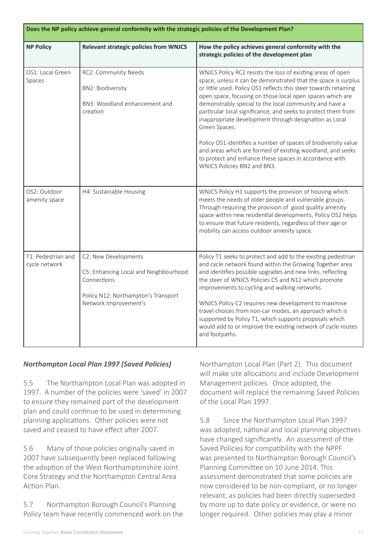| Does the NP policy achieve general conformity with the strategic policies of the Development Plan? |                                                                                                                                              |                                                                                                                                                                                                                                                                                                                                                                                                                                                                                                                                                                                                                                                                                               |  |
|----------------------------------------------------------------------------------------------------|----------------------------------------------------------------------------------------------------------------------------------------------|-----------------------------------------------------------------------------------------------------------------------------------------------------------------------------------------------------------------------------------------------------------------------------------------------------------------------------------------------------------------------------------------------------------------------------------------------------------------------------------------------------------------------------------------------------------------------------------------------------------------------------------------------------------------------------------------------|--|
| <b>NP Policy</b>                                                                                   | <b>Relevant strategic policies from WNJCS</b>                                                                                                | How the policy achieves general conformity with the<br>strategic policies of the development plan                                                                                                                                                                                                                                                                                                                                                                                                                                                                                                                                                                                             |  |
| OS1: Local Green<br>Spaces                                                                         | RC2: Community Needs<br><b>BN2: Biodiversity</b><br>BN3: Woodland enhancement and<br>creation                                                | WNJCS Policy RC2 resists the loss of existing areas of open<br>space, unless it can be demonstrated that the space is surplus<br>or little used. Policy OS1 reflects this steer towards retaining<br>open space, focusing on those local open spaces which are<br>demonstrably special to the local community and have a<br>particular local significance, and seeks to protect them from<br>inappropriate development through designation as Local<br>Green Spaces.<br>Policy OS1 identifies a number of spaces of biodiversity value<br>and areas which are formed of existing woodland, and seeks<br>to protect and enhance these spaces in accordance with<br>WNJCS Policies BN2 and BN3. |  |
| OS2: Outdoor<br>amenity space                                                                      | H4: Sustainable Housing                                                                                                                      | WNJCS Policy H1 supports the provision of housing which<br>meets the needs of older people and vulnerable groups.<br>Through requiring the provision of good quality amenity<br>space within new residential developments, Policy OS2 helps<br>to ensure that future residents, regardless of their age or<br>mobility can access outdoor amenity space.                                                                                                                                                                                                                                                                                                                                      |  |
| T1: Pedestrian and<br>cycle network                                                                | C2: New Developments<br>C5: Enhancing Local and Neighbourhood<br>Connections<br>Policy N12: Northampton's Transport<br>Network Improvement's | Policy T1 seeks to protect and add to the existing pedestrian<br>and cycle network found within the Growing Together area<br>and identifies possible upgrades and new links, reflecting<br>the steer of WNJCS Policies C5 and N12 which promote<br>improvements to cycling and walking networks.<br>WNJCS Policy C2 requires new development to maximise<br>travel choices from non-car modes, an approach which is<br>supported by Policy T1, which supports proposals which<br>would add to or improve the existing network of cycle routes<br>and footpaths.                                                                                                                               |  |

#### *Northampton Local Plan 1997 (Saved Policies)*

5.5 The Northampton Local Plan was adopted in 1997. A number of the policies were 'saved' in 2007 to ensure they remained part of the development plan and could continue to be used in determining planning applications. Other policies were not saved and ceased to have effect after 2007.

5.6 Many of those policies originally saved in 2007 have subsequently been replaced following the adoption of the West Northamptonshire Joint Core Strategy and the Northampton Central Area Action Plan.

5.7 Northampton Borough Council's Planning Policy team have recently commenced work on the Northampton Local Plan (Part 2). This document will make site allocations and include Development Management policies. Once adopted, the document will replace the remaining Saved Policies of the Local Plan 1997.

5.8 Since the Northampton Local Plan 1997 was adopted, national and local planning objectives have changed significantly. An assessment of the Saved Policies for compatibility with the NPPF was presented to Northampton Borough Council's Planning Committee on 10 June 2014. This assessment demonstrated that some policies are now considered to be non-compliant, or no longer relevant, as policies had been directly superseded by more up to date policy or evidence, or were no longer required. Other policies may play a minor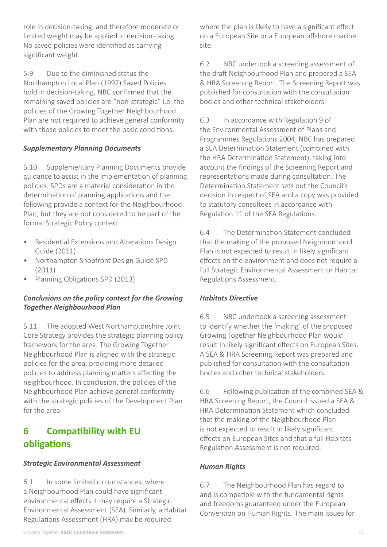role in decision-taking, and therefore moderate or limited weight may be applied in decision-taking. No saved policies were identified as carrying significant weight.

5.9 Due to the diminished status the Northampton Local Plan (1997) Saved Policies hold in decision-taking, NBC confirmed that the remaining saved policies are "non-strategic" i.e. the policies of the Growing Together Neighbourhood Plan are not required to achieve general conformity with those policies to meet the basic conditions.

## *Supplementary Planning Documents*

5.10 Supplementary Planning Documents provide guidance to assist in the implementation of planning policies. SPDs are a material consideration in the determination of planning applications and the following provide a context for the Neighbourhood Plan, but they are not considered to be part of the formal Strategic Policy context:

- Residential Extensions and Alterations Design Guide (2011)
- Northampton Shopfront Design Guide SPD (2011)
- Planning Obligations SPD (2013)

## *Conclusions on the policy context for the Growing Together Neighbourhood Plan*

5.11 The adopted West Northamptonshire Joint Core Strategy provides the strategic planning policy framework for the area. The Growing Together Neighbourhood Plan is aligned with the strategic policies for the area, providing more detailed policies to address planning matters affecting the neighbourhood. In conclusion, the policies of the Neighbourhood Plan achieve general conformity with the strategic policies of the Development Plan for the area.

# **6 Compatibility with EU obligations**

#### *Strategic Environmental Assessment*

6.1 In some limited circumstances, where a Neighbourhood Plan could have significant environmental effects it may require a Strategic Environmental Assessment (SEA). Similarly, a Habitat Regulations Assessment (HRA) may be required

where the plan is likely to have a significant effect on a European Site or a European offshore marine site.

6.2 NBC undertook a screening assessment of the draft Neighbourhood Plan and prepared a SEA & HRA Screening Report. The Screening Report was published for consultation with the consultation bodies and other technical stakeholders.

6.3 In accordance with Regulation 9 of the Environmental Assessment of Plans and Programmes Regulations 2004, NBC has prepared a SEA Determination Statement (combined with the HRA Determination Statement), taking into account the findings of the Screening Report and representations made during consultation. The Determination Statement sets out the Council's decision in respect of SEA and a copy was provided to statutory consultees in accordance with Regulation 11 of the SEA Regulations.

6.4 The Determination Statement concluded that the making of the proposed Neighbourhood Plan is not expected to result in likely significant effects on the environment and does not require a full Strategic Environmental Assessment or Habitat Regulations Assessment.

#### *Habitats Directive*

6.5 NBC undertook a screening assessment to identify whether the 'making' of the proposed Growing Together Neighbourhood Plan would result in likely significant effects on European Sites. A SEA & HRA Screening Report was prepared and published for consultation with the consultation bodies and other technical stakeholders.

6.6 Following publication of the combined SEA & HRA Screening Report, the Council issued a SEA & HRA Determination Statement which concluded that the making of the Neighbourhood Plan is not expected to result in likely significant effects on European Sites and that a full Habitats Regulation Assessment is not required.

#### *Human Rights*

6.7 The Neighbourhood Plan has regard to and is compatible with the fundamental rights and freedoms guaranteed under the European Convention on Human Rights. The main issues for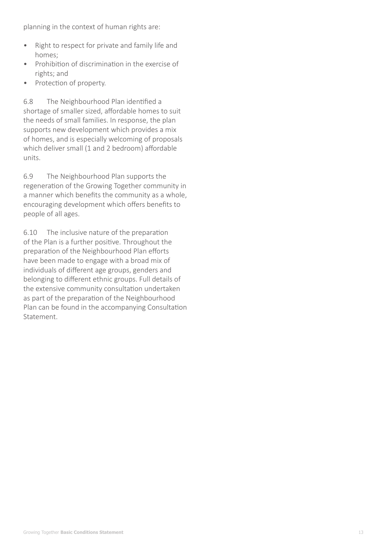planning in the context of human rights are:

- Right to respect for private and family life and homes;
- Prohibition of discrimination in the exercise of rights; and
- • Protection of property.

6.8 The Neighbourhood Plan identified a shortage of smaller sized, affordable homes to suit the needs of small families. In response, the plan supports new development which provides a mix of homes, and is especially welcoming of proposals which deliver small (1 and 2 bedroom) affordable units.

6.9 The Neighbourhood Plan supports the regeneration of the Growing Together community in a manner which benefits the community as a whole, encouraging development which offers benefits to people of all ages.

6.10 The inclusive nature of the preparation of the Plan is a further positive. Throughout the preparation of the Neighbourhood Plan efforts have been made to engage with a broad mix of individuals of different age groups, genders and belonging to different ethnic groups. Full details of the extensive community consultation undertaken as part of the preparation of the Neighbourhood Plan can be found in the accompanying Consultation Statement.